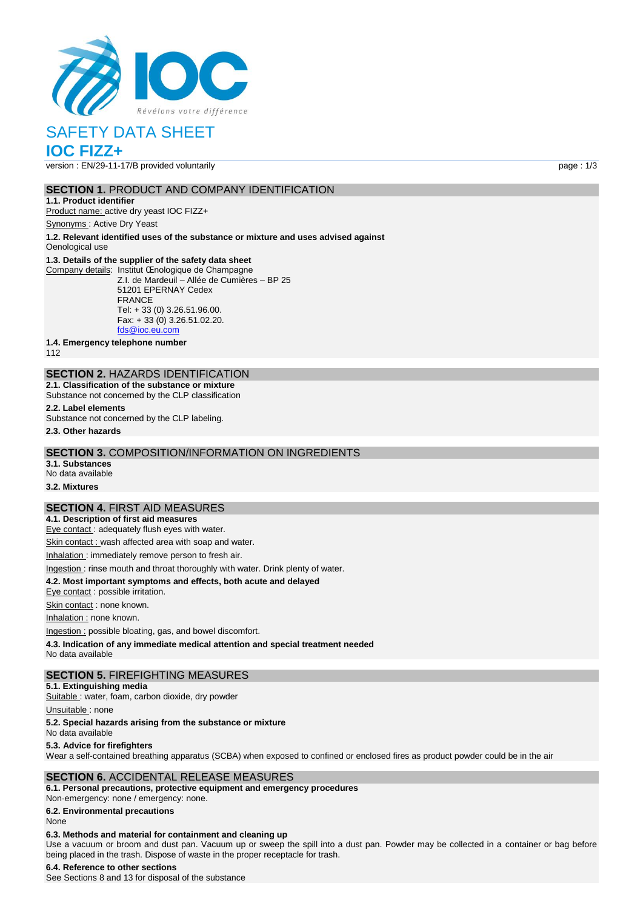

# SAFETY DATA SHEET

# **IOC FIZZ+**

version : EN/29-11-17/B provided voluntarily page : 1/3

### **SECTION 1.** PRODUCT AND COMPANY IDENTIFICATION

**1.1. Product identifier** Product name: active dry yeast IOC FIZZ+

Synonyms : Active Dry Yeast

**1.2. Relevant identified uses of the substance or mixture and uses advised against** Oenological use

### **1.3. Details of the supplier of the safety data sheet**

Company details: Institut Œnologique de Champagne Z.I. de Mardeuil – Allée de Cumières – BP 25 51201 EPERNAY Cedex FRANCE Tel: + 33 (0) 3.26.51.96.00. Fax: + 33 (0) 3.26.51.02.20. [fds@ioc.eu.com](mailto:fds@ioc.eu.com)

**1.4. Emergency telephone number**

112

# **SECTION 2.** HAZARDS IDENTIFICATION

**2.1. Classification of the substance or mixture** Substance not concerned by the CLP classification

# **2.2. Label elements**

Substance not concerned by the CLP labeling.

**2.3. Other hazards**

### **SECTION 3.** COMPOSITION/INFORMATION ON INGREDIENTS

**3.1. Substances** No data available

# **3.2. Mixtures**

### **SECTION 4.** FIRST AID MEASURES

**4.1. Description of first aid measures** Eye contact : adequately flush eyes with water.

Skin contact : wash affected area with soap and water.

Inhalation : immediately remove person to fresh air.

### Ingestion : rinse mouth and throat thoroughly with water. Drink plenty of water.

**4.2. Most important symptoms and effects, both acute and delayed**

Eye contact : possible irritation.

Skin contact : none known.

Inhalation : none known.

Ingestion : possible bloating, gas, and bowel discomfort.

**4.3. Indication of any immediate medical attention and special treatment needed**

No data available

### **SECTION 5.** FIREFIGHTING MEASURES

**5.1. Extinguishing media**

Suitable : water, foam, carbon dioxide, dry powder

Unsuitable: none

### **5.2. Special hazards arising from the substance or mixture**

No data available

### **5.3. Advice for firefighters**

Wear a self-contained breathing apparatus (SCBA) when exposed to confined or enclosed fires as product powder could be in the air

### **SECTION 6.** ACCIDENTAL RELEASE MEASURES

**6.1. Personal precautions, protective equipment and emergency procedures** Non‐emergency: none / emergency: none.

**6.2. Environmental precautions**

### None

### **6.3. Methods and material for containment and cleaning up**

Use a vacuum or broom and dust pan. Vacuum up or sweep the spill into a dust pan. Powder may be collected in a container or bag before being placed in the trash. Dispose of waste in the proper receptacle for trash.

#### **6.4. Reference to other sections**

See Sections 8 and 13 for disposal of the substance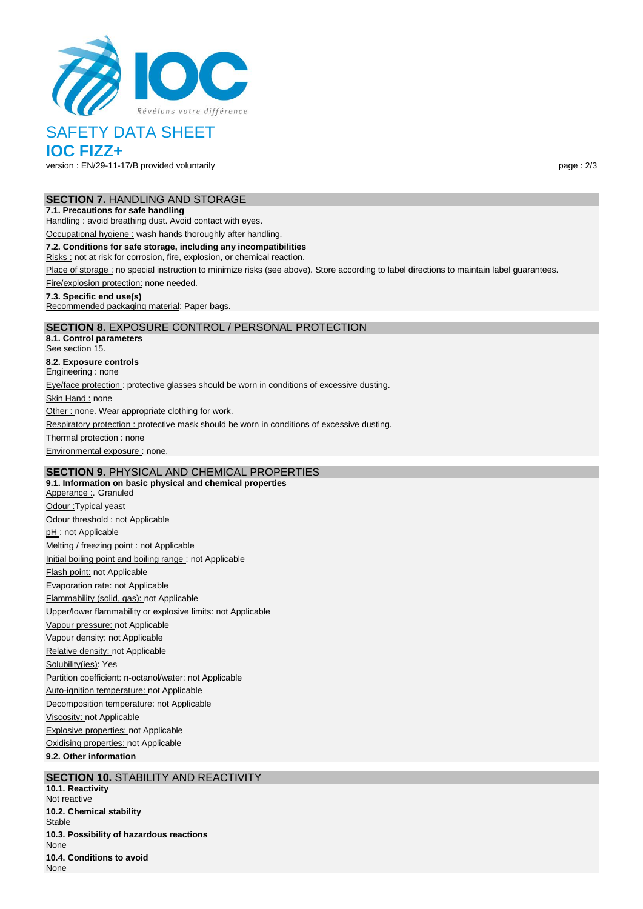

# SAFETY DATA SHEET

# **IOC FIZZ+**

version : EN/29-11-17/B provided voluntarily page : 2/3

### **SECTION 7.** HANDLING AND STORAGE

### **7.1. Precautions for safe handling**

Handling : avoid breathing dust. Avoid contact with eyes.

Occupational hygiene : wash hands thoroughly after handling.

### **7.2. Conditions for safe storage, including any incompatibilities**

Risks : not at risk for corrosion, fire, explosion, or chemical reaction.

Place of storage : no special instruction to minimize risks (see above). Store according to label directions to maintain label guarantees.

Fire/explosion protection: none needed.

### **7.3. Specific end use(s)**

Recommended packaging material: Paper bags.

### **SECTION 8.** EXPOSURE CONTROL / PERSONAL PROTECTION

**8.1. Control parameters** See section 15. **8.2. Exposure controls** Engineering : none Eye/face protection : protective glasses should be worn in conditions of excessive dusting. Skin Hand : none Other : none. Wear appropriate clothing for work. Respiratory protection : protective mask should be worn in conditions of excessive dusting. Thermal protection: none Environmental exposure : none.

# **SECTION 9.** PHYSICAL AND CHEMICAL PROPERTIES

**9.1. Information on basic physical and chemical properties** Apperance : Granuled Odour :Typical yeast Odour threshold : not Applicable pH: not Applicable Melting / freezing point : not Applicable Initial boiling point and boiling range : not Applicable Flash point: not Applicable Evaporation rate: not Applicable Flammability (solid, gas): not Applicable Upper/lower flammability or explosive limits: not Applicable Vapour pressure: not Applicable Vapour density: not Applicable Relative density: not Applicable Solubility(ies): Yes Partition coefficient: n-octanol/water: not Applicable Auto-ignition temperature: not Applicable Decomposition temperature: not Applicable Viscosity: not Applicable Explosive properties: not Applicable Oxidising properties: not Applicable **9.2. Other information**

### **SECTION 10. STABILITY AND REACTIVITY**

**10.1. Reactivity** Not reactive **10.2. Chemical stability** Stable **10.3. Possibility of hazardous reactions** None **10.4. Conditions to avoid** None